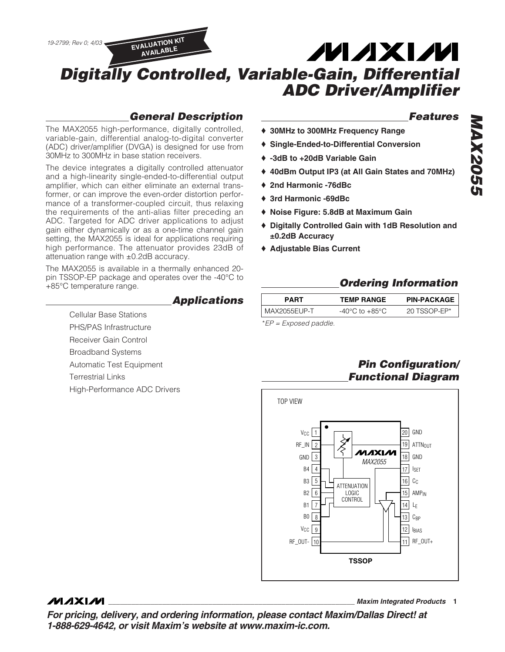

### **General Description**

The MAX2055 high-performance, digitally controlled, variable-gain, differential analog-to-digital converter (ADC) driver/amplifier (DVGA) is designed for use from 30MHz to 300MHz in base station receivers.

The device integrates a digitally controlled attenuator and a high-linearity single-ended-to-differential output amplifier, which can either eliminate an external transformer, or can improve the even-order distortion performance of a transformer-coupled circuit, thus relaxing the requirements of the anti-alias filter preceding an ADC. Targeted for ADC driver applications to adjust gain either dynamically or as a one-time channel gain setting, the MAX2055 is ideal for applications requiring high performance. The attenuator provides 23dB of attenuation range with ±0.2dB accuracy.

The MAX2055 is available in a thermally enhanced 20 pin TSSOP-EP package and operates over the -40°C to +85°C temperature range.

> Cellular Base Stations PHS/PAS Infrastructure Receiver Gain Control Broadband Systems

Automatic Test Equipment

High-Performance ADC Drivers

Terrestrial Links

#### **Applications**

#### **Features**

- ♦ **30MHz to 300MHz Frequency Range**
- ♦ **Single-Ended-to-Differential Conversion**
- ♦ **-3dB to +20dB Variable Gain**
- ♦ **40dBm Output IP3 (at All Gain States and 70MHz)**
- ♦ **2nd Harmonic -76dBc**
- ♦ **3rd Harmonic -69dBc**
- ♦ **Noise Figure: 5.8dB at Maximum Gain**
- ♦ **Digitally Controlled Gain with 1dB Resolution and ±0.2dB Accuracy**
- ♦ **Adjustable Bias Current**

### **Ordering Information**

| <b>PART</b>             | <b>TEMP RANGE</b>                  | <b>PIN-PACKAGE</b> |
|-------------------------|------------------------------------|--------------------|
| MAX2055EUP-T            | $-40^{\circ}$ C to $+85^{\circ}$ C | 20 TSSOP-EP*       |
| $E P = Exposed$ paddle. |                                    |                    |

**Pin Configuration/ Functional Diagram**



### **MAXIM**

**\_\_\_\_\_\_\_\_\_\_\_\_\_\_\_\_\_\_\_\_\_\_\_\_\_\_\_\_\_\_\_\_\_\_\_\_\_\_\_\_\_\_\_\_\_\_\_\_\_\_\_\_\_\_\_\_\_\_\_\_\_\_\_\_ Maxim Integrated Products 1**

**For pricing, delivery, and ordering information, please contact Maxim/Dallas Direct! at 1-888-629-4642, or visit Maxim's website at www.maxim-ic.com.**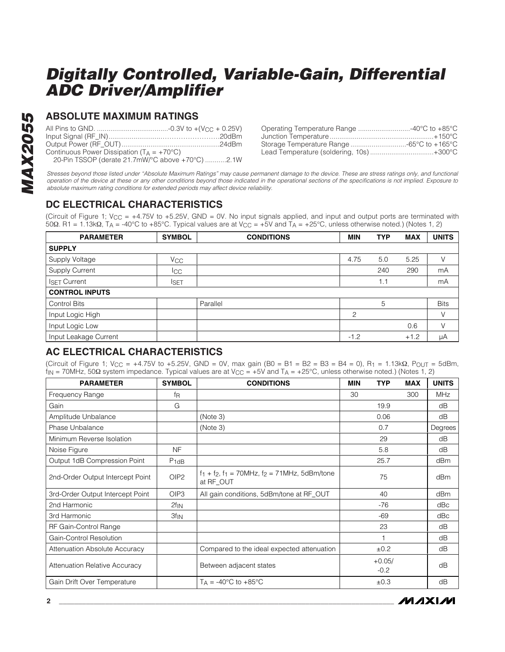### **ABSOLUTE MAXIMUM RATINGS**

| Continuous Power Dissipation $(T_A = +70^{\circ}C)$ |  |
|-----------------------------------------------------|--|
| 20-Pin TSSOP (derate 21.7mW/°C above +70°C) 2.1W    |  |

| Operating Temperature Range 40°C to +85°C |  |
|-------------------------------------------|--|
|                                           |  |
| Storage Temperature Range 65°C to +165°C  |  |
| Lead Temperature (soldering, 10s)+300°C   |  |

Stresses beyond those listed under "Absolute Maximum Ratings" may cause permanent damage to the device. These are stress ratings only, and functional operation of the device at these or any other conditions beyond those indicated in the operational sections of the specifications is not implied. Exposure to absolute maximum rating conditions for extended periods may affect device reliability.

#### **DC ELECTRICAL CHARACTERISTICS**

(Circuit of Figure 1;  $V_{CC} = +4.75V$  to  $+5.25V$ , GND = 0V. No input signals applied, and input and output ports are terminated with 50Ω. R1 = 1.13kΩ, T<sub>A</sub> = -40°C to +85°C. Typical values are at V<sub>CC</sub> = +5V and T<sub>A</sub> = +25°C, unless otherwise noted.) (Notes 1, 2)

| <b>PARAMETER</b>      | <b>SYMBOL</b>         | <b>CONDITIONS</b> | <b>MIN</b> | <b>TYP</b> | <b>MAX</b> | <b>UNITS</b> |
|-----------------------|-----------------------|-------------------|------------|------------|------------|--------------|
| <b>SUPPLY</b>         |                       |                   |            |            |            |              |
| Supply Voltage        | <b>V<sub>CC</sub></b> |                   | 4.75       | 5.0        | 5.25       | V            |
| Supply Current        | $_{\rm{ICC}}$         |                   |            | 240        | 290        | mA           |
| <b>ISET Current</b>   | <b>I</b> SET          |                   |            | 1.1        |            | mA           |
| <b>CONTROL INPUTS</b> |                       |                   |            |            |            |              |
| <b>Control Bits</b>   |                       | Parallel          |            | 5          |            | <b>Bits</b>  |
| Input Logic High      |                       |                   | 2          |            |            | V            |
| Input Logic Low       |                       |                   |            |            | 0.6        | V            |
| Input Leakage Current |                       |                   | $-1.2$     |            | $+1.2$     | μA           |

#### **AC ELECTRICAL CHARACTERISTICS**

(Circuit of Figure 1; V<sub>CC</sub> = +4.75V to +5.25V, GND = 0V, max gain (B0 = B1 = B2 = B3 = B4 = 0), R<sub>1</sub> = 1.13k $\Omega$ , P<sub>OUT</sub> = 5dBm,  $f_{\text{IN}}$  = 70MHz, 50 $\Omega$  system impedance. Typical values are at V<sub>CC</sub> = +5V and T<sub>A</sub> = +25°C, unless otherwise noted.) (Notes 1, 2)

| <b>PARAMETER</b>                     | <b>SYMBOL</b>    | <b>CONDITIONS</b>                                                    | <b>MIN</b> | <b>TYP</b>         | <b>MAX</b> | <b>UNITS</b> |
|--------------------------------------|------------------|----------------------------------------------------------------------|------------|--------------------|------------|--------------|
| Frequency Range                      | fŖ               |                                                                      | 30         |                    | 300        | <b>MHz</b>   |
| Gain                                 | G                |                                                                      |            | 19.9               |            | dB           |
| Amplitude Unbalance                  |                  | (Note 3)                                                             |            | 0.06               |            | dB           |
| Phase Unbalance                      |                  | (Note 3)                                                             |            | 0.7                |            | Degrees      |
| Minimum Reverse Isolation            |                  |                                                                      |            | 29                 |            | dB           |
| Noise Figure                         | <b>NF</b>        |                                                                      |            | 5.8                |            | dB           |
| Output 1dB Compression Point         | $P_{1dB}$        |                                                                      |            | 25.7               |            | dBm          |
| 2nd-Order Output Intercept Point     | OIP <sub>2</sub> | $f_1 + f_2$ , $f_1 = 70$ MHz, $f_2 = 71$ MHz, 5dBm/tone<br>at RF OUT |            | 75                 |            | dBm          |
| 3rd-Order Output Intercept Point     | OIP <sub>3</sub> | All gain conditions, 5dBm/tone at RF_OUT                             |            | 40                 |            | dBm          |
| 2nd Harmonic                         | $2f_{IN}$        |                                                                      |            | $-76$              |            | dBc          |
| 3rd Harmonic                         | $3f_{IN}$        |                                                                      |            | $-69$              |            | dBc          |
| RF Gain-Control Range                |                  |                                                                      |            | 23                 |            | dB           |
| Gain-Control Resolution              |                  |                                                                      |            |                    |            | dB           |
| <b>Attenuation Absolute Accuracy</b> |                  | Compared to the ideal expected attenuation                           |            | ±0.2               |            | dB           |
| <b>Attenuation Relative Accuracy</b> |                  | Between adjacent states                                              |            | $+0.05/$<br>$-0.2$ |            | dB           |
| Gain Drift Over Temperature          |                  | $T_A = -40^{\circ}C$ to $+85^{\circ}C$                               |            | ±0.3               |            | dB           |

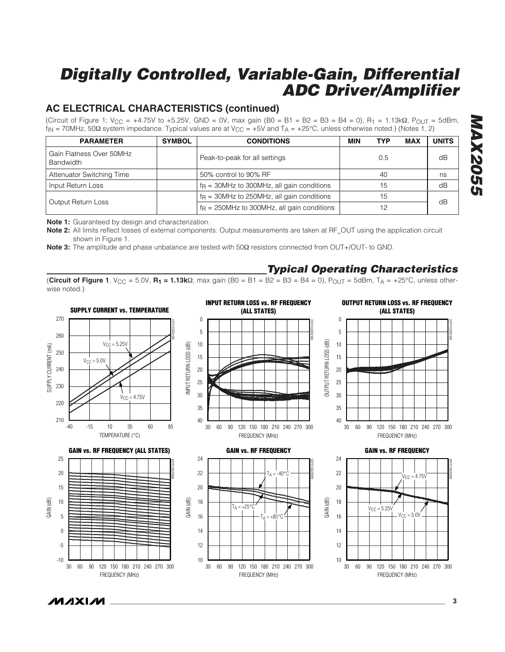### **AC ELECTRICAL CHARACTERISTICS (continued)**

(Circuit of Figure 1; V<sub>CC</sub> = +4.75V to +5.25V, GND = 0V, max gain (B0 = B1 = B2 = B3 = B4 = 0), R<sub>1</sub> = 1.13k $\Omega$ , P<sub>OUT</sub> = 5dBm,  $f_{\text{IN}}$  = 70MHz, 50Ω system impedance. Typical values are at V<sub>CC</sub> = +5V and T<sub>A</sub> = +25°C, unless otherwise noted.) (Notes 1, 2)

| <b>PARAMETER</b>                             | <b>SYMBOL</b> | <b>CONDITIONS</b>                             |  | TYP | <b>MAX</b> | <b>UNITS</b> |
|----------------------------------------------|---------------|-----------------------------------------------|--|-----|------------|--------------|
| Gain Flatness Over 50MHz<br><b>Bandwidth</b> |               | Peak-to-peak for all settings                 |  | 0.5 |            | dB           |
| <b>Attenuator Switching Time</b>             |               | 50% control to 90% RF                         |  | 40  |            | ns           |
| Input Return Loss                            |               | $f_R = 30$ MHz to 300MHz, all gain conditions |  | 15  |            | dB           |
|                                              |               | $f_R$ = 30MHz to 250MHz, all gain conditions  |  | IЬ  |            | dB           |
| Output Return Loss                           |               | $fR$ = 250MHz to 300MHz, all gain conditions  |  |     |            |              |

**MAX2055 MAX205.** 

**Note 1:** Guaranteed by design and characterization.

**Note 2:** All limits reflect losses of external components. Output measurements are taken at RF\_OUT using the application circuit shown in Figure 1.

**Note 3:** The amplitude and phase unbalance are tested with 50Ω resistors connected from OUT+/OUT- to GND.

#### **Typical Operating Characteristics**

**(Circuit of Figure 1**, V<sub>CC</sub> = 5.0V, **R<sub>1</sub>** = **1.13k**Ω, max gain (B0 = B1 = B2 = B3 = B4 = 0), P<sub>OUT</sub> = 5dBm, T<sub>A</sub> = +25°C, unless otherwise noted.)



**MAXIM**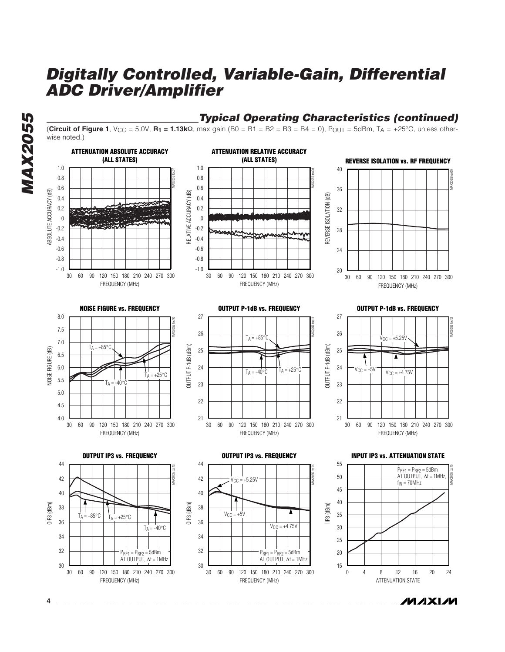



*/VI/IXI/VI*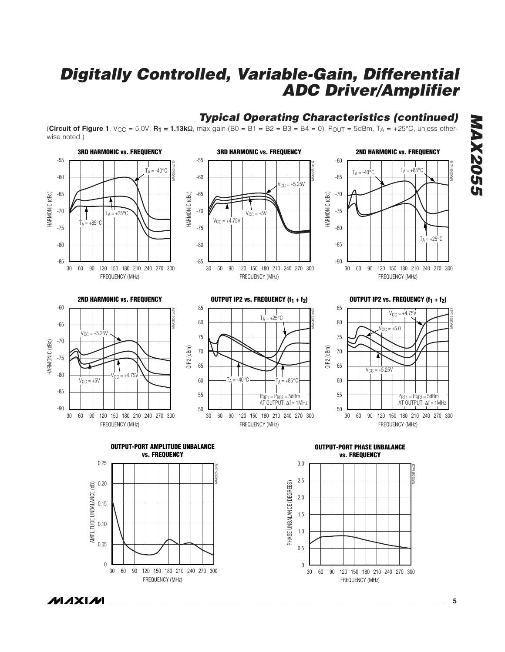

0.05

 $\boldsymbol{0}$ 

FREQUENCY (MHz)

60 90 120 180 150 210 240 270 30 300



FREQUENCY (MHz)

60 90 120 180 150 210 240 270 30 300

0.5 1.0

 $\boldsymbol{0}$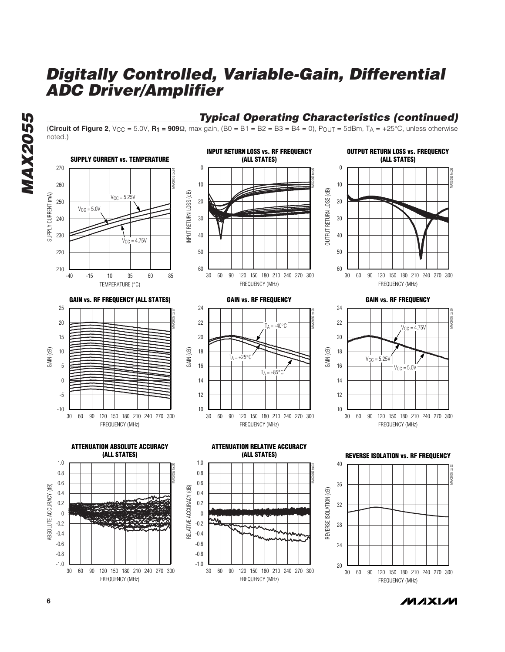**Typical Operating Characteristics (continued)**



**6 \_\_\_\_\_\_\_\_\_\_\_\_\_\_\_\_\_\_\_\_\_\_\_\_\_\_\_\_\_\_\_\_\_\_\_\_\_\_\_\_\_\_\_\_\_\_\_\_\_\_\_\_\_\_\_\_\_\_\_\_\_\_\_\_\_\_\_\_\_\_\_\_\_\_\_\_\_\_\_\_\_\_\_\_\_\_\_**

*/VI/IXI/VI* 

**MAX2055**

**MAX2055**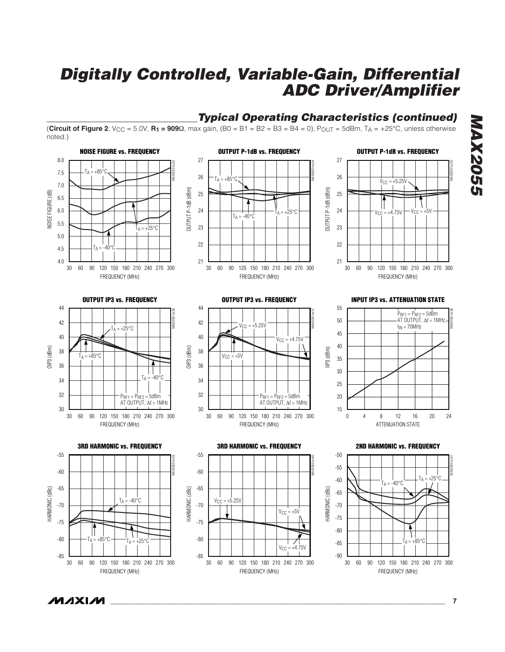

*IVI A* XI*IV*I

**MAX2055 MAX2055** 

**\_\_\_\_\_\_\_\_\_\_\_\_\_\_\_\_\_\_\_\_\_\_\_\_\_\_\_\_\_\_\_\_\_\_\_\_\_\_\_\_\_\_\_\_\_\_\_\_\_\_\_\_\_\_\_\_\_\_\_\_\_\_\_\_\_\_\_\_\_\_\_\_\_\_\_\_\_\_\_\_\_\_\_\_\_\_\_ 7**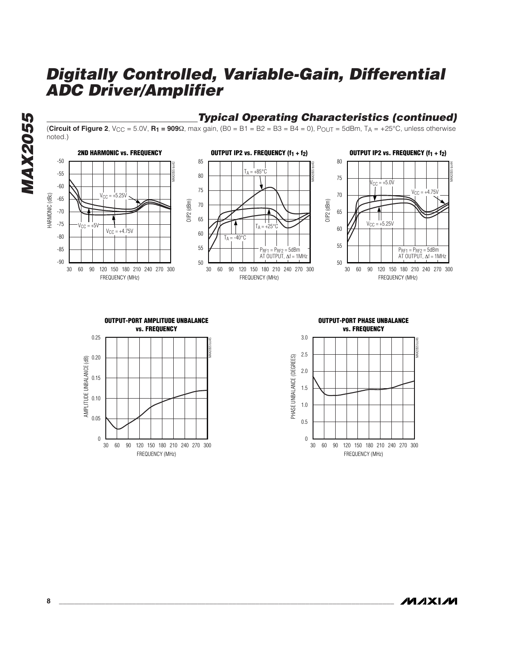**MAX2055 MAX2055**

#### **Typical Operating Characteristics (continued)**

**(Circuit of Figure 2**, V<sub>CC</sub> = 5.0V, **R<sub>1</sub> = 909** $\Omega$ , max gain, (B0 = B1 = B2 = B3 = B4 = 0), P<sub>OUT</sub> = 5dBm, T<sub>A</sub> = +25°C, unless otherwise noted.)













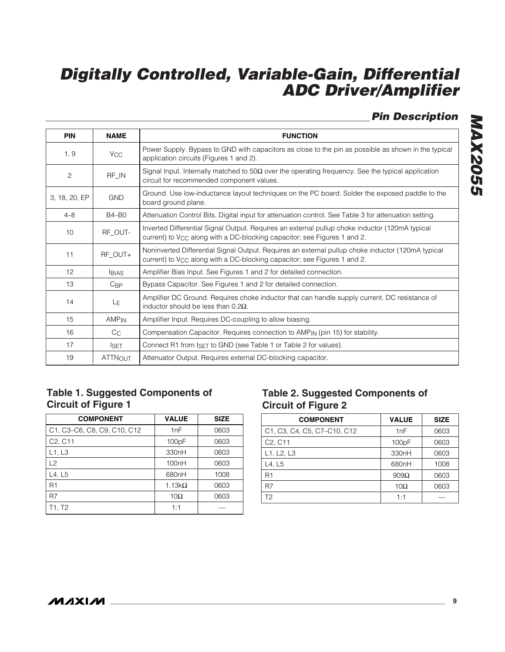**Pin Description**

| <b>PIN</b>      | <b>NAME</b>           | <b>FUNCTION</b>                                                                                                                                                                        |
|-----------------|-----------------------|----------------------------------------------------------------------------------------------------------------------------------------------------------------------------------------|
| 1, 9            | <b>V<sub>CC</sub></b> | Power Supply. Bypass to GND with capacitors as close to the pin as possible as shown in the typical<br>application circuits (Figures 1 and 2).                                         |
| 2               | RF_IN                 | Signal Input. Internally matched to 50 $\Omega$ over the operating frequency. See the typical application<br>circuit for recommended component values.                                 |
| 3, 18, 20, EP   | <b>GND</b>            | Ground. Use low-inductance layout techniques on the PC board. Solder the exposed paddle to the<br>board ground plane.                                                                  |
| $4 - 8$         | $B4 - B0$             | Attenuation Control Bits. Digital input for attenuation control. See Table 3 for attenuation setting.                                                                                  |
| 10 <sup>1</sup> | RF_OUT-               | Inverted Differential Signal Output. Requires an external pullup choke inductor (120mA typical<br>current) to $V_{\rm CC}$ along with a DC-blocking capacitor; see Figures 1 and 2.    |
| 11              | RF OUT+               | Noninverted Differential Signal Output. Requires an external pullup choke inductor (120mA typical<br>current) to $V_{\rm CC}$ along with a DC-blocking capacitor; see Figures 1 and 2. |
| 12              | <b>BIAS</b>           | Amplifier Bias Input. See Figures 1 and 2 for detailed connection.                                                                                                                     |
| 13              | $C_{\text{BP}}$       | Bypass Capacitor. See Figures 1 and 2 for detailed connection.                                                                                                                         |
| 14              | L <sub>E</sub>        | Amplifier DC Ground. Requires choke inductor that can handle supply current. DC resistance of<br>inductor should be less than $0.2\Omega$ .                                            |
| 15              | AMP <sub>IN</sub>     | Amplifier Input. Requires DC-coupling to allow biasing.                                                                                                                                |
| 16              | $C_{C}$               | Compensation Capacitor. Requires connection to AMP <sub>IN</sub> (pin 15) for stability.                                                                                               |
| 17              | <b>ISET</b>           | Connect R1 from $ISET$ to GND (see Table 1 or Table 2 for values).                                                                                                                     |
| 19              | <b>ATTNOUT</b>        | Attenuator Output. Requires external DC-blocking capacitor.                                                                                                                            |

### **Table 1. Suggested Components of Circuit of Figure 1**

| <b>COMPONENT</b>                 | <b>VALUE</b>       | <b>SIZE</b> |
|----------------------------------|--------------------|-------------|
| C1, C3-C6, C8, C9, C10, C12      | 1nF                | 0603        |
| C <sub>2</sub> , C <sub>11</sub> | 100pF              | 0603        |
| L1, L3                           | 330nH              | 0603        |
| L2                               | 100 <sub>n</sub> H | 0603        |
| L4, L5                           | 680nH              | 1008        |
| R <sub>1</sub>                   | 1.13 $k\Omega$     | 0603        |
| R7                               | 10 $\Omega$        | 0603        |
| T1. T2                           | 1:1                |             |

### **Table 2. Suggested Components of Circuit of Figure 2**

| <b>COMPONENT</b>                                                                                                      | <b>VALUE</b> | <b>SIZE</b> |
|-----------------------------------------------------------------------------------------------------------------------|--------------|-------------|
| C <sub>1</sub> , C <sub>3</sub> , C <sub>4</sub> , C <sub>5</sub> , C <sub>7</sub> –C <sub>10</sub> , C <sub>12</sub> | 1nF          | 0603        |
| C <sub>2</sub> , C <sub>11</sub>                                                                                      | 100pF        | 0603        |
| L1, L2, L3                                                                                                            | 330nH        | 0603        |
| L4, L5                                                                                                                | 680nH        | 1008        |
| R1                                                                                                                    | $909\Omega$  | 0603        |
| R7                                                                                                                    | $10\Omega$   | 0603        |
| T <sub>2</sub>                                                                                                        | 1:1          |             |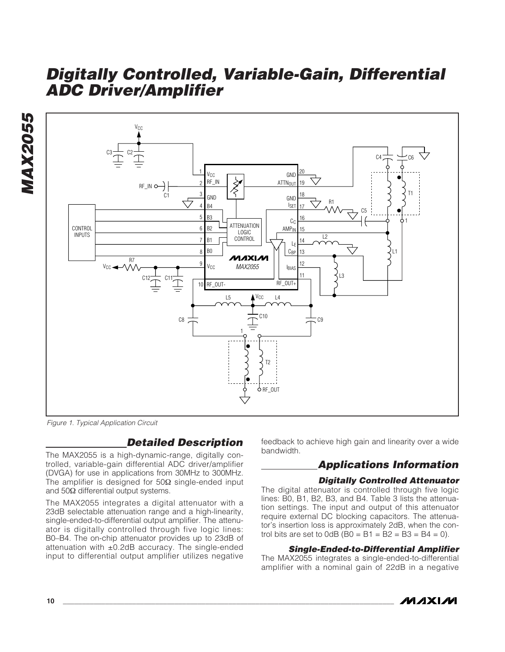



Figure 1. Typical Application Circuit

### **Detailed Description**

The MAX2055 is a high-dynamic-range, digitally controlled, variable-gain differential ADC driver/amplifier (DVGA) for use in applications from 30MHz to 300MHz. The amplifier is designed for  $50\Omega$  single-ended input and 50Ω differential output systems.

The MAX2055 integrates a digital attenuator with a 23dB selectable attenuation range and a high-linearity, single-ended-to-differential output amplifier. The attenuator is digitally controlled through five logic lines: B0–B4. The on-chip attenuator provides up to 23dB of attenuation with  $\pm 0.2$ dB accuracy. The single-ended input to differential output amplifier utilizes negative feedback to achieve high gain and linearity over a wide bandwidth.

### **Applications Information**

#### **Digitally Controlled Attenuator**

The digital attenuator is controlled through five logic lines: B0, B1, B2, B3, and B4. Table 3 lists the attenuation settings. The input and output of this attenuator require external DC blocking capacitors. The attenuator's insertion loss is approximately 2dB, when the control bits are set to  $0dB$  (B0 = B1 = B2 = B3 = B4 = 0).

#### **Single-Ended-to-Differential Amplifier**

The MAX2055 integrates a single-ended-to-differential amplifier with a nominal gain of 22dB in a negative

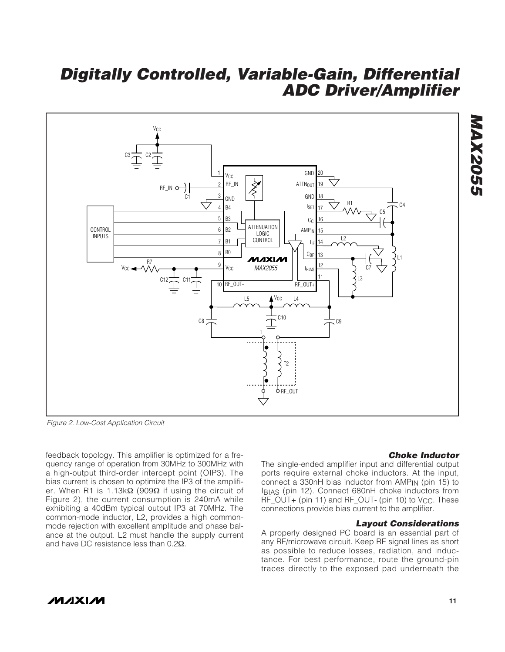

Figure 2. Low-Cost Application Circuit

feedback topology. This amplifier is optimized for a frequency range of operation from 30MHz to 300MHz with a high-output third-order intercept point (OIP3). The bias current is chosen to optimize the IP3 of the amplifier. When R1 is 1.13kΩ (909Ω if using the circuit of Figure 2), the current consumption is 240mA while exhibiting a 40dBm typical output IP3 at 70MHz. The common-mode inductor, L2, provides a high commonmode rejection with excellent amplitude and phase balance at the output. L2 must handle the supply current and have DC resistance less than 0.2Ω.

#### **Choke Inductor**

**MAX2055**

**MAX2055** 

The single-ended amplifier input and differential output ports require external choke inductors. At the input, connect a 330nH bias inductor from AMPIN (pin 15) to IBIAS (pin 12). Connect 680nH choke inductors from RF\_OUT+ (pin 11) and RF\_OUT- (pin 10) to V<sub>CC</sub>. These connections provide bias current to the amplifier.

#### **Layout Considerations**

A properly designed PC board is an essential part of any RF/microwave circuit. Keep RF signal lines as short as possible to reduce losses, radiation, and inductance. For best performance, route the ground-pin traces directly to the exposed pad underneath the

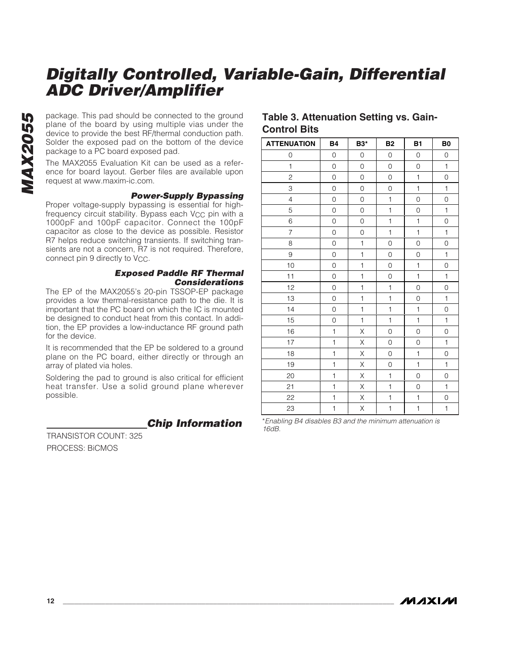package. This pad should be connected to the ground<br>plane of the board by using multiple vias under the<br>device to provide the best RF/thermal conduction path.<br>Solder the exposed pad on the bottom of the device<br>package to a plane of the board by using multiple vias under the device to provide the best RF/thermal conduction path. Solder the exposed pad on the bottom of the device package to a PC board exposed pad.

The MAX2055 Evaluation Kit can be used as a reference for board layout. Gerber files are available upon request at www.maxim-ic.com.

#### **Power-Supply Bypassing**

Proper voltage-supply bypassing is essential for highfrequency circuit stability. Bypass each V<sub>CC</sub> pin with a 1000pF and 100pF capacitor. Connect the 100pF capacitor as close to the device as possible. Resistor R7 helps reduce switching transients. If switching transients are not a concern, R7 is not required. Therefore, connect pin 9 directly to V<sub>CC</sub>.

#### **Exposed Paddle RF Thermal Considerations**

The EP of the MAX2055's 20-pin TSSOP-EP package provides a low thermal-resistance path to the die. It is important that the PC board on which the IC is mounted be designed to conduct heat from this contact. In addition, the EP provides a low-inductance RF ground path for the device.

It is recommended that the EP be soldered to a ground plane on the PC board, either directly or through an array of plated via holes.

Soldering the pad to ground is also critical for efficient heat transfer. Use a solid ground plane wherever possible.

**Chip Information** 

TRANSISTOR COUNT: 325 PROCESS: BiCMOS

#### **Table 3. Attenuation Setting vs. Gain-Control Bits**

| <b>ATTENUATION</b> | <b>B4</b>           | <b>B3*</b>   | <b>B2</b>           | B1                  | B <sub>0</sub> |
|--------------------|---------------------|--------------|---------------------|---------------------|----------------|
| 0                  | 0                   | 0            | 0                   | 0                   | 0              |
| $\mathbf{1}$       | 0                   | 0            | 0                   | 0                   | $\mathbf{1}$   |
| $\mathbf{2}$       | $\mathsf{O}\xspace$ | 0            | $\mathsf O$         | $\mathbf{1}$        | $\hbox{O}$     |
| 3                  | $\mathsf{O}\xspace$ | 0            | 0                   | $\mathbf{1}$        | $\mathbf{1}$   |
| $\overline{4}$     | $\mathsf{O}\xspace$ | 0            | $\mathbf{1}$        | 0                   | $\mathsf O$    |
| 5                  | $\mathsf{O}\xspace$ | 0            | $\mathbf{1}$        | 0                   | $\mathbf{1}$   |
| 6                  | $\mathsf{O}\xspace$ | 0            | $\mathbf{1}$        | $\mathbf{1}$        | $\hbox{O}$     |
| $\overline{7}$     | $\mathsf{O}\xspace$ | 0            | $\mathbf{1}$        | $\mathbf{1}$        | $\mathbf{1}$   |
| 8                  | $\mathsf{O}\xspace$ | $\mathbf 1$  | $\mathsf O$         | 0                   | $\hbox{O}$     |
| $\hbox{9}$         | $\mathsf{O}\xspace$ | $\mathbf{1}$ | $\mathsf{O}\xspace$ | 0                   | $\mathbf{1}$   |
| 10                 | 0                   | $\mathbf{1}$ | 0                   | $\mathbf{1}$        | 0              |
| 11                 | 0                   | $\mathbf{1}$ | 0                   | $\mathbf{1}$        | $\mathbf{1}$   |
| 12                 | $\mathsf{O}\xspace$ | $\mathbf{1}$ | $\mathbf{1}$        | 0                   | $\hbox{O}$     |
| 13                 | $\mathsf{O}\xspace$ | $\mathbf{1}$ | $\mathbf{1}$        | 0                   | $\mathbf{1}$   |
| 14                 | $\mathsf{O}\xspace$ | $\mathbf{1}$ | $\mathbf{1}$        | $\mathbf{1}$        | $\hbox{O}$     |
| 15                 | $\mathsf{O}\xspace$ | $\mathbf{1}$ | $\mathbf{1}$        | $\mathbf{1}$        | $\mathbf{1}$   |
| 16                 | $\mathbf{1}$        | Χ            | $\hbox{O}$          | $\mathsf{O}\xspace$ | $\hbox{O}$     |
| 17                 | $\mathbf{1}$        | Χ            | $\mathsf{O}\xspace$ | 0                   | $\mathbf{1}$   |
| 18                 | $\mathbf{1}$        | Χ            | $\hbox{O}$          | $\mathbf{1}$        | $\hbox{O}$     |
| 19                 | $\mathbf{1}$        | Χ            | $\mathsf{O}\xspace$ | $\mathbf{1}$        | $\mathbf{1}$   |
| 20                 | 1                   | Χ            | $\mathbf{1}$        | 0                   | 0              |
| 21                 | 1                   | Χ            | $\mathbf{1}$        | 0                   | $\mathbf{1}$   |
| 22                 | $\mathbf{1}$        | Χ            | $\mathbf{1}$        | 1                   | $\hbox{O}$     |
| 23                 | $\mathbf{1}$        | Χ            | 1                   | $\mathbf{1}$        | $\mathbf{1}$   |

\*Enabling B4 disables B3 and the minimum attenuation is<br>16dB